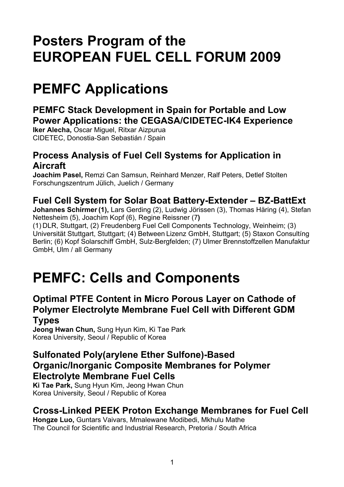# **Posters Program of the EUROPEAN FUEL CELL FORUM 2009**

# **PEMFC Applications**

## **PEMFC Stack Development in Spain for Portable and Low Power Applications: the CEGASA/CIDETEC-IK4 Experience**

**Iker Alecha,** Oscar Miguel, Ritxar Aizpurua CIDETEC, Donostia-San Sebastián / Spain

# **Process Analysis of Fuel Cell Systems for Application in Aircraft**

**Joachim Pasel,** Remzi Can Samsun, Reinhard Menzer, Ralf Peters, Detlef Stolten Forschungszentrum Jülich, Juelich / Germany

# **Fuel Cell System for Solar Boat Battery-Extender – BZ-BattExt**

**Johannes Schirmer(1),** Lars Gerding (2), Ludwig Jörissen (3), Thomas Häring (4), Stefan Nettesheim (5), Joachim Kopf (6), Regine Reissner (7**)**

(1) DLR, Stuttgart, (2) Freudenberg Fuel Cell Components Technology, Weinheim; (3) Universität Stuttgart, Stuttgart; (4) Between Lizenz GmbH, Stuttgart; (5) Staxon Consultíng Berlin; (6) Kopf Solarschiff GmbH, Sulz-Bergfelden; (7) Ulmer Brennstoffzellen Manufaktur GmbH, Ulm / all Germany

# **PEMFC: Cells and Components**

#### **Optimal PTFE Content in Micro Porous Layer on Cathode of Polymer Electrolyte Membrane Fuel Cell with Different GDM Types**

**Jeong Hwan Chun,** Sung Hyun Kim, Ki Tae Park Korea University, Seoul / Republic of Korea

#### **Sulfonated Poly(arylene Ether Sulfone)-Based Organic/Inorganic Composite Membranes for Polymer Electrolyte Membrane Fuel Cells**

**Ki Tae Park,** Sung Hyun Kim, Jeong Hwan Chun Korea University, Seoul / Republic of Korea

# **Cross-Linked PEEK Proton Exchange Membranes for Fuel Cell**

**Hongze Luo,** Guntars Vaivars, Mmalewane Modibedi, Mkhulu Mathe The Council for Scientific and Industrial Research, Pretoria / South Africa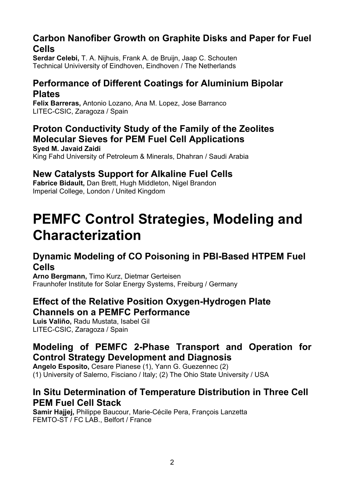#### **Carbon Nanofiber Growth on Graphite Disks and Paper for Fuel Cells**

**Serdar Celebi,** T. A. Nijhuis, Frank A. de Bruijn, Jaap C. Schouten Technical Univiversity of Eindhoven, Eindhoven / The Netherlands

### **Performance of Different Coatings for Aluminium Bipolar Plates**

**Felix Barreras,** Antonio Lozano, Ana M. Lopez, Jose Barranco LITEC-CSIC, Zaragoza / Spain

#### **Proton Conductivity Study of the Family of the Zeolites Molecular Sieves for PEM Fuel Cell Applications Syed M. Javaid Zaidi**

King Fahd University of Petroleum & Minerals, Dhahran / Saudi Arabia

# **New Catalysts Support for Alkaline Fuel Cells**

**Fabrice Bidault,** Dan Brett, Hugh Middleton, Nigel Brandon Imperial College, London / United Kingdom

# **PEMFC Control Strategies, Modeling and Characterization**

# **Dynamic Modeling of CO Poisoning in PBI-Based HTPEM Fuel Cells**

**Arno Bergmann,** Timo Kurz, Dietmar Gerteisen Fraunhofer Institute for Solar Energy Systems, Freiburg / Germany

## **Effect of the Relative Position Oxygen-Hydrogen Plate Channels on a PEMFC Performance**

**Luis Valiño,** Radu Mustata, Isabel Gil LITEC-CSIC, Zaragoza / Spain

# **Modeling of PEMFC 2-Phase Transport and Operation for Control Strategy Development and Diagnosis**

**Angelo Esposito,** Cesare Pianese (1), Yann G. Guezennec (2) (1) University of Salerno, Fisciano / Italy; (2) The Ohio State University / USA

## **In Situ Determination of Temperature Distribution in Three Cell PEM Fuel Cell Stack**

**Samir Hajjej,** Philippe Baucour, Marie-Cécile Pera, François Lanzetta FEMTO-ST / FC LAB., Belfort / France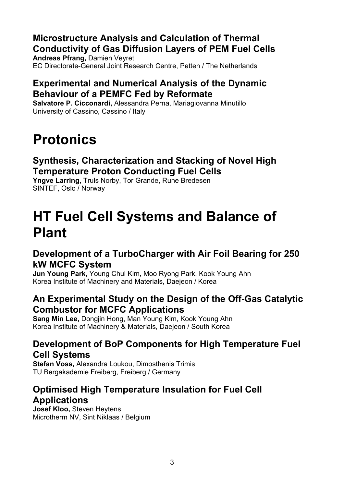# **Microstructure Analysis and Calculation of Thermal Conductivity of Gas Diffusion Layers of PEM Fuel Cells**

**Andreas Pfrang,** Damien Veyret EC Directorate-General Joint Research Centre, Petten / The Netherlands

# **Experimental and Numerical Analysis of the Dynamic Behaviour of a PEMFC Fed by Reformate**

**Salvatore P. Cicconardi,** Alessandra Perna, Mariagiovanna Minutillo University of Cassino, Cassino / Italy

# **Protonics**

### **Synthesis, Characterization and Stacking of Novel High Temperature Proton Conducting Fuel Cells**

**Yngve Larring,** Truls Norby, Tor Grande, Rune Bredesen SINTEF, Oslo / Norway

# **HT Fuel Cell Systems and Balance of Plant**

# **Development of a TurboCharger with Air Foil Bearing for 250 kW MCFC System**

**Jun Young Park,** Young Chul Kim, Moo Ryong Park, Kook Young Ahn Korea Institute of Machinery and Materials, Daejeon / Korea

## **An Experimental Study on the Design of the Off-Gas Catalytic Combustor for MCFC Applications**

**Sang Min Lee,** Dongjin Hong, Man Young Kim, Kook Young Ahn Korea Institute of Machinery & Materials, Daejeon / South Korea

# **Development of BoP Components for High Temperature Fuel Cell Systems**

**Stefan Voss,** Alexandra Loukou, Dimosthenis Trimis TU Bergakademie Freiberg, Freiberg / Germany

# **Optimised High Temperature Insulation for Fuel Cell Applications**

**Josef Kloo,** Steven Heytens Microtherm NV, Sint Niklaas / Belgium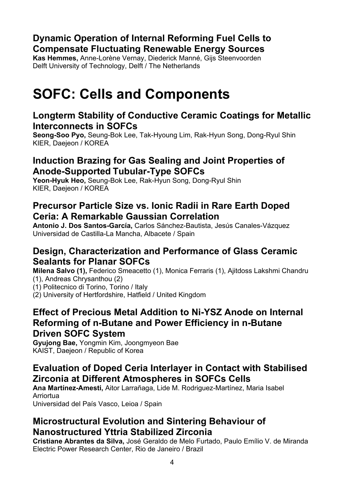#### **Dynamic Operation of Internal Reforming Fuel Cells to Compensate Fluctuating Renewable Energy Sources**

**Kas Hemmes,** Anne-Lorène Vernay, Diederick Manné, Gijs Steenvoorden Delft University of Technology, Delft / The Netherlands

# **SOFC: Cells and Components**

#### **Longterm Stability of Conductive Ceramic Coatings for Metallic Interconnects in SOFCs**

**Seong-Soo Pyo,** Seung-Bok Lee, Tak-Hyoung Lim, Rak-Hyun Song, Dong-Ryul Shin KIER, Daejeon / KOREA

#### **Induction Brazing for Gas Sealing and Joint Properties of Anode-Supported Tubular-Type SOFCs**

**Yeon-Hyuk Heo,** Seung-Bok Lee, Rak-Hyun Song, Dong-Ryul Shin KIER, Daejeon / KOREA

#### **Precursor Particle Size vs. Ionic Radii in Rare Earth Doped Ceria: A Remarkable Gaussian Correlation**

**Antonio J. Dos Santos-García,** Carlos Sánchez-Bautista, Jesús Canales-Vázquez Universidad de Castilla-La Mancha, Albacete / Spain

## **Design, Characterization and Performance of Glass Ceramic Sealants for Planar SOFCs**

**Milena Salvo (1),** Federico Smeacetto (1), Monica Ferraris (1), Ajitdoss Lakshmi Chandru (1), Andreas Chrysanthou (2)

(1) Politecnico di Torino, Torino / Italy

(2) University of Hertfordshire, Hatfield / United Kingdom

#### **Effect of Precious Metal Addition to Ni-YSZ Anode on Internal Reforming of n-Butane and Power Efficiency in n-Butane Driven SOFC System**

**Gyujong Bae,** Yongmin Kim, Joongmyeon Bae KAIST, Daejeon / Republic of Korea

# **Evaluation of Doped Ceria Interlayer in Contact with Stabilised Zirconia at Different Atmospheres in SOFCs Cells**

**Ana Martínez-Amesti,** Aitor Larrañaga, Lide M. Rodriguez-Martínez, Maria Isabel Arriortua Universidad del País Vasco, Leioa / Spain

#### **Microstructural Evolution and Sintering Behaviour of Nanostructured Yttria Stabilized Zirconia**

**Cristiane Abrantes da Silva,** José Geraldo de Melo Furtado, Paulo Emílio V. de Miranda Electric Power Research Center, Rio de Janeiro / Brazil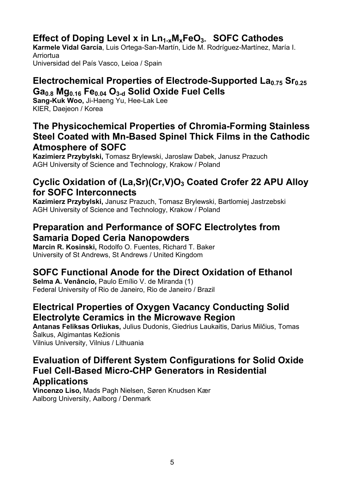# Effect of Doping Level x in Ln<sub>1-x</sub>M<sub>x</sub>FeO<sub>3</sub>. SOFC Cathodes

**Karmele Vidal García**, Luis Ortega-San-Martín, Lide M. Rodríguez-Martínez, María I. Arriortua Universidad del País Vasco, Leioa / Spain

#### Electrochemical Properties of Electrode-Supported La<sub>0.75</sub> Sr<sub>0.25</sub> Ga<sub>0.8</sub> Mg<sub>0.16</sub> Fe<sub>0.04</sub> O<sub>3-d</sub> Solid Oxide Fuel Cells

**Sang-Kuk Woo,** Ji-Haeng Yu, Hee-Lak Lee KIER, Daejeon / Korea

#### **The Physicochemical Properties of Chromia-Forming Stainless Steel Coated with Mn-Based Spinel Thick Films in the Cathodic Atmosphere of SOFC**

**Kazimierz Przybylski,** Tomasz Brylewski, Jaroslaw Dabek, Janusz Prazuch AGH University of Science and Technology, Krakow / Poland

#### **Cyclic Oxidation of (La,Sr)(Cr,V)O3 Coated Crofer 22 APU Alloy for SOFC Interconnects**

**Kazimierz Przybylski,** Janusz Prazuch, Tomasz Brylewski, Bartlomiej Jastrzebski AGH University of Science and Technology, Krakow / Poland

#### **Preparation and Performance of SOFC Electrolytes from Samaria Doped Ceria Nanopowders**

**Marcin R. Kosinski,** Rodolfo O. Fuentes, Richard T. Baker University of St Andrews, St Andrews / United Kingdom

# **SOFC Functional Anode for the Direct Oxidation of Ethanol**

**Selma A. Venâncio,** Paulo Emílio V. de Miranda (1) Federal University of Rio de Janeiro, Rio de Janeiro / Brazil

## **Electrical Properties of Oxygen Vacancy Conducting Solid Electrolyte Ceramics in the Microwave Region**

**Antanas Feliksas Orliukas,** Julius Dudonis, Giedrius Laukaitis, Darius Milčius, Tomas Šalkus, Algimantas Kežionis Vilnius University, Vilnius / Lithuania

#### **Evaluation of Different System Configurations for Solid Oxide Fuel Cell-Based Micro-CHP Generators in Residential Applications**

**Vincenzo Liso,** Mads Pagh Nielsen, Søren Knudsen Kær Aalborg University, Aalborg / Denmark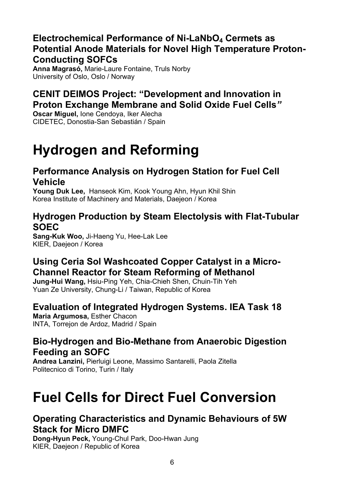## **Electrochemical Performance of Ni-LaNbO4 Cermets as Potential Anode Materials for Novel High Temperature Proton-Conducting SOFCs**

**Anna Magrasó,** Marie-Laure Fontaine, Truls Norby University of Oslo, Oslo / Norway

# **CENIT DEIMOS Project: "Development and Innovation in Proton Exchange Membrane and Solid Oxide Fuel Cells***"*

**Oscar Miguel,** Ione Cendoya, Iker Alecha CIDETEC, Donostia-San Sebastián / Spain

# **Hydrogen and Reforming**

### **Performance Analysis on Hydrogen Station for Fuel Cell Vehicle**

**Young Duk Lee,** Hanseok Kim, Kook Young Ahn, Hyun Khil Shin Korea Institute of Machinery and Materials, Daejeon / Korea

#### **Hydrogen Production by Steam Electolysis with Flat-Tubular SOEC**

**Sang-Kuk Woo,** Ji-Haeng Yu, Hee-Lak Lee KIER, Daejeon / Korea

## **Using Ceria Sol Washcoated Copper Catalyst in a Micro-Channel Reactor for Steam Reforming of Methanol**

**Jung-Hui Wang,** Hsiu-Ping Yeh, Chia-Chieh Shen, Chuin-Tih Yeh Yuan Ze University, Chung-Li / Taiwan, Republic of Korea

# **Evaluation of Integrated Hydrogen Systems. IEA Task 18**

**Maria Argumosa,** Esther Chacon INTA, Torrejon de Ardoz, Madrid / Spain

#### **Bio-Hydrogen and Bio-Methane from Anaerobic Digestion Feeding an SOFC**

**Andrea Lanzini,** Pierluigi Leone, Massimo Santarelli, Paola Zitella Politecnico di Torino, Turin / Italy

# **Fuel Cells for Direct Fuel Conversion**

#### **Operating Characteristics and Dynamic Behaviours of 5W Stack for Micro DMFC**

**Dong-Hyun Peck,** Young-Chul Park, Doo-Hwan Jung KIER, Daejeon / Republic of Korea